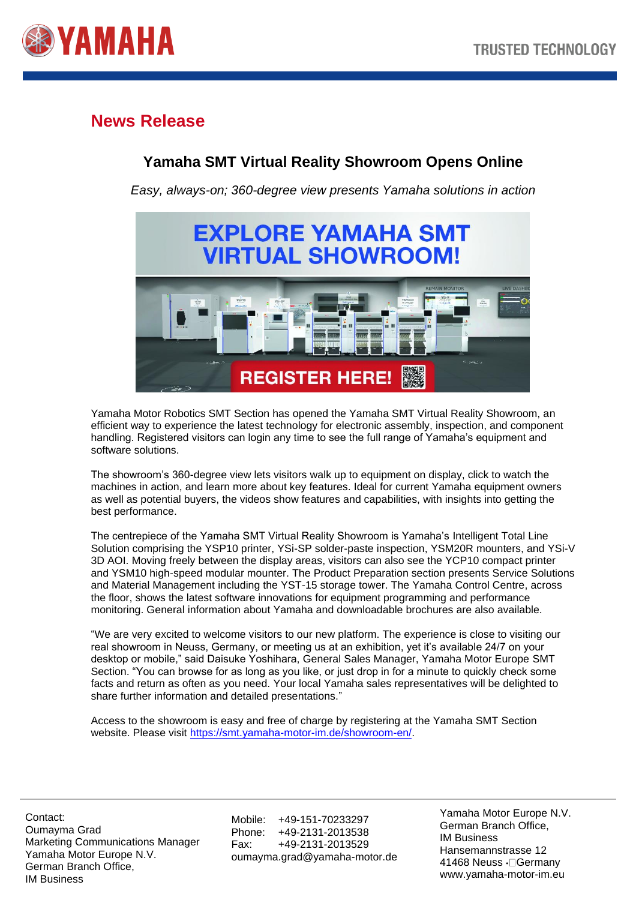

## **News Release**

## **Yamaha SMT Virtual Reality Showroom Opens Online**

*Easy, always-on; 360-degree view presents Yamaha solutions in action*



Yamaha Motor Robotics SMT Section has opened the Yamaha SMT Virtual Reality Showroom, an efficient way to experience the latest technology for electronic assembly, inspection, and component handling. Registered visitors can login any time to see the full range of Yamaha's equipment and software solutions.

The showroom's 360-degree view lets visitors walk up to equipment on display, click to watch the machines in action, and learn more about key features. Ideal for current Yamaha equipment owners as well as potential buyers, the videos show features and capabilities, with insights into getting the best performance.

The centrepiece of the Yamaha SMT Virtual Reality Showroom is Yamaha's Intelligent Total Line Solution comprising the YSP10 printer, YSi-SP solder-paste inspection, YSM20R mounters, and YSi-V 3D AOI. Moving freely between the display areas, visitors can also see the YCP10 compact printer and YSM10 high-speed modular mounter. The Product Preparation section presents Service Solutions and Material Management including the YST-15 storage tower. The Yamaha Control Centre, across the floor, shows the latest software innovations for equipment programming and performance monitoring. General information about Yamaha and downloadable brochures are also available.

"We are very excited to welcome visitors to our new platform. The experience is close to visiting our real showroom in Neuss, Germany, or meeting us at an exhibition, yet it's available 24/7 on your desktop or mobile," said Daisuke Yoshihara, General Sales Manager, Yamaha Motor Europe SMT Section. "You can browse for as long as you like, or just drop in for a minute to quickly check some facts and return as often as you need. Your local Yamaha sales representatives will be delighted to share further information and detailed presentations."

Access to the showroom is easy and free of charge by registering at the Yamaha SMT Section website. Please visit [https://smt.yamaha-motor-im.de/showroom-en/.](https://smt.yamaha-motor-im.de/showroom-en/)

Contact: Oumayma Grad Marketing Communications Manager Yamaha Motor Europe N.V. German Branch Office, IM Business

Mobile: +49-151-70233297 Phone: +49-2131-2013538 Fax: +49-2131-2013529 oumayma.grad@yamaha-motor.de Yamaha Motor Europe N.V. German Branch Office, IM Business Hansemannstrasse 12 41468 Neuss · Germany www.yamaha-motor-im.eu